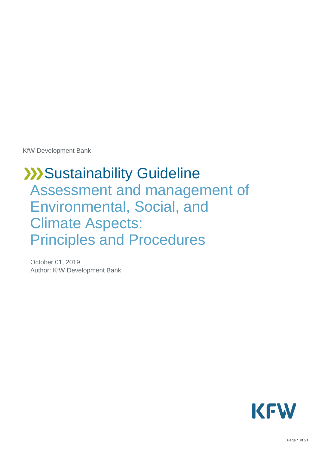KfW Development Bank

# **XX** Sustainability Guideline Assessment and management of Environmental, Social, and Climate Aspects: Principles and Procedures

October 01, 2019 Author: KfW Development Bank

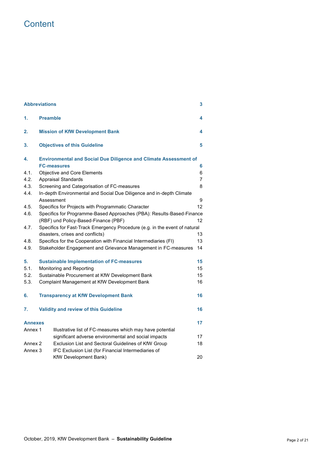# **Content**

| <b>Abbreviations</b><br>3                                            |                                                                                                                     |                                                                            |    |  |
|----------------------------------------------------------------------|---------------------------------------------------------------------------------------------------------------------|----------------------------------------------------------------------------|----|--|
| 1.                                                                   | <b>Preamble</b>                                                                                                     |                                                                            | 4  |  |
| 2.                                                                   |                                                                                                                     | <b>Mission of KfW Development Bank</b>                                     | 4  |  |
| 3.                                                                   |                                                                                                                     | <b>Objectives of this Guideline</b>                                        | 5  |  |
| 4.                                                                   | <b>Environmental and Social Due Diligence and Climate Assessment of</b>                                             |                                                                            |    |  |
|                                                                      |                                                                                                                     | <b>FC-measures</b>                                                         | 6  |  |
| 4.1.                                                                 |                                                                                                                     | Objective and Core Elements                                                | 6  |  |
| 4.2.                                                                 |                                                                                                                     | <b>Appraisal Standards</b>                                                 | 7  |  |
| 4.3.                                                                 |                                                                                                                     | Screening and Categorisation of FC-measures                                | 8  |  |
| 4.4.                                                                 |                                                                                                                     | In-depth Environmental and Social Due Diligence and in-depth Climate       |    |  |
|                                                                      |                                                                                                                     | Assessment                                                                 | 9  |  |
| 4.5.                                                                 |                                                                                                                     | Specifics for Projects with Programmatic Character                         | 12 |  |
| 4.6.                                                                 | Specifics for Programme-Based Approaches (PBA): Results-Based-Finance<br>(RBF) und Policy-Based-Finance (PBF)<br>12 |                                                                            |    |  |
| 4.7.                                                                 |                                                                                                                     | Specifics for Fast-Track Emergency Procedure (e.g. in the event of natural |    |  |
|                                                                      |                                                                                                                     | disasters, crises and conflicts)                                           | 13 |  |
| 4.8.                                                                 | Specifics for the Cooperation with Financial Intermediaries (FI)                                                    |                                                                            | 13 |  |
| 4.9.                                                                 | Stakeholder Engagement and Grievance Management in FC-measures                                                      |                                                                            | 14 |  |
| 5.                                                                   | <b>Sustainable Implementation of FC-measures</b>                                                                    |                                                                            | 15 |  |
| 5.1.                                                                 | Monitoring and Reporting                                                                                            |                                                                            | 15 |  |
| 5.2.                                                                 | Sustainable Procurement at KfW Development Bank                                                                     |                                                                            | 15 |  |
| 5.3.                                                                 |                                                                                                                     | Complaint Management at KfW Development Bank                               | 16 |  |
| 6.                                                                   |                                                                                                                     | <b>Transparency at KfW Development Bank</b>                                | 16 |  |
| 7.                                                                   |                                                                                                                     | Validity and review of this Guideline                                      | 16 |  |
| <b>Annexes</b>                                                       |                                                                                                                     |                                                                            | 17 |  |
| Annex 1<br>Illustrative list of FC-measures which may have potential |                                                                                                                     |                                                                            |    |  |
|                                                                      |                                                                                                                     | significant adverse environmental and social impacts                       | 17 |  |
| Annex 2                                                              |                                                                                                                     | Exclusion List and Sectoral Guidelines of KfW Group                        | 18 |  |
| IFC Exclusion List (for Financial Intermediaries of<br>Annex 3       |                                                                                                                     |                                                                            |    |  |
|                                                                      |                                                                                                                     | KfW Development Bank)                                                      | 20 |  |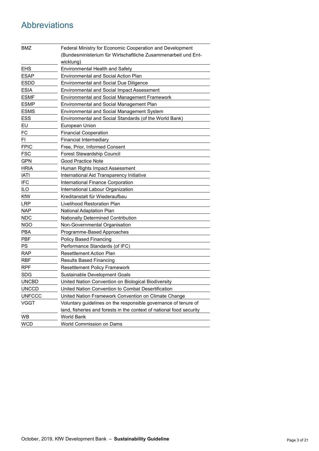# <span id="page-2-0"></span>Abbreviations

| BMZ           | Federal Ministry for Economic Cooperation and Development<br>(Bundesministerium für Wirtschaftliche Zusammenarbeit und Ent-<br>wicklung) |
|---------------|------------------------------------------------------------------------------------------------------------------------------------------|
| <b>EHS</b>    | <b>Environmental Health and Safety</b>                                                                                                   |
| <b>ESAP</b>   | <b>Environmental and Social Action Plan</b>                                                                                              |
| <b>ESDD</b>   | <b>Environmental and Social Due Diligence</b>                                                                                            |
| <b>ESIA</b>   | Environmental and Social Impact Assessment                                                                                               |
| <b>ESMF</b>   | <b>Environmental and Social Management Framework</b>                                                                                     |
| <b>ESMP</b>   | Environmental and Social Management Plan                                                                                                 |
| <b>ESMS</b>   | Environmental and Social Management System                                                                                               |
| ESS           | Environmental and Social Standards (of the World Bank)                                                                                   |
| EU            | European Union                                                                                                                           |
| FC            | <b>Financial Cooperation</b>                                                                                                             |
| FI.           | Financial Intermediary                                                                                                                   |
| <b>FPIC</b>   | Free, Prior, Informed Consent                                                                                                            |
| <b>FSC</b>    | <b>Forest Stewardship Council</b>                                                                                                        |
| <b>GPN</b>    | Good Practice Note                                                                                                                       |
| <b>HRIA</b>   | Human Rights Impact Assessment                                                                                                           |
| IATI          | International Aid Transparency Initiative                                                                                                |
| <b>IFC</b>    | International Finance Corporation                                                                                                        |
| ILO           | International Labour Organization                                                                                                        |
| KfW           | Kreditanstalt für Wiederaufbau                                                                                                           |
| <b>LRP</b>    | Livelihood Restoration Plan                                                                                                              |
| <b>NAP</b>    | National Adaptation Plan                                                                                                                 |
| <b>NDC</b>    | Nationally Determined Contribution                                                                                                       |
| <b>NGO</b>    | Non-Governmental Organisation                                                                                                            |
| <b>PBA</b>    | Programme-Based Approaches                                                                                                               |
| PBF           | <b>Policy Based Financing</b>                                                                                                            |
| PS            | Performance Standards (of IFC)                                                                                                           |
| <b>RAP</b>    | <b>Resettlement Action Plan</b>                                                                                                          |
| <b>RBF</b>    | Results Based Financing                                                                                                                  |
| <b>RPF</b>    | <b>Resettlement Policy Framework</b>                                                                                                     |
| <b>SDG</b>    | Sustainable Development Goals                                                                                                            |
| <b>UNCBD</b>  | United Nation Convention on Biological Biodiversity                                                                                      |
| <b>UNCCD</b>  | United Nation Convention to Combat Desertification                                                                                       |
| <b>UNFCCC</b> | United Nation Framework Convention on Climate Change                                                                                     |
| <b>VGGT</b>   | Voluntary guidelines on the responsible governance of tenure of                                                                          |
|               | land, fisheries and forests in the context of national food security                                                                     |
| <b>WB</b>     | World Bank                                                                                                                               |
| <b>WCD</b>    | World Commission on Dams                                                                                                                 |

<u> 1980 - Johann Barn, mars ann an t-Amhain Aonaich an t-Aonaich an t-Aonaich ann an t-Aonaich ann an t-Aonaich</u>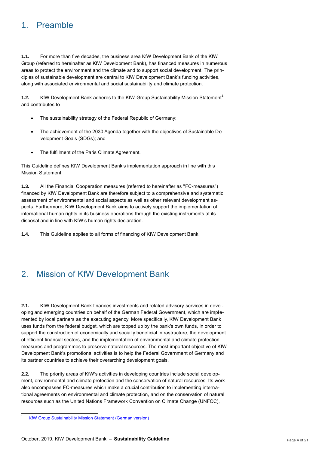# <span id="page-3-0"></span>1. Preamble

**1.1.** For more than five decades, the business area KfW Development Bank of the KfW Group (referred to hereinafter as KfW Development Bank), has financed measures in numerous areas to protect the environment and the climate and to support social development. The principles of sustainable development are central to KfW Development Bank's funding activities, along with associated environmental and social sustainability and climate protection.

**1.2.** KfW Development Bank adheres to the KfW Group Sustainability Mission Statement<sup>1</sup> and contributes to

- The sustainability strategy of the Federal Republic of Germany;
- The achievement of the 2030 Agenda together with the objectives of Sustainable Development Goals (SDGs); and
- The fulfillment of the Paris Climate Agreement.

This Guideline defines KfW Development Bank's implementation approach in line with this Mission Statement.

**1.3.** All the Financial Cooperation measures (referred to hereinafter as "FC-measures") financed by KfW Development Bank are therefore subject to a comprehensive and systematic assessment of environmental and social aspects as well as other relevant development aspects. Furthermore, KfW Development Bank aims to actively support the implementation of international human rights in its business operations through the existing instruments at its disposal and in line with KfW's human rights declaration.

<span id="page-3-1"></span>**1.4.** This Guideline applies to all forms of financing of KfW Development Bank.

# 2. Mission of KfW Development Bank

**2.1.** KfW Development Bank finances investments and related advisory services in developing and emerging countries on behalf of the German Federal Government, which are implemented by local partners as the executing agency. More specifically, KfW Development Bank uses funds from the federal budget, which are topped up by the bank's own funds, in order to support the construction of economically and socially beneficial infrastructure, the development of efficient financial sectors, and the implementation of environmental and climate protection measures and programmes to preserve natural resources. The most important objective of KfW Development Bank's promotional activities is to help the Federal Government of Germany and its partner countries to achieve their overarching development goals.

**2.2.** The priority areas of KfW's activities in developing countries include social development, environmental and climate protection and the conservation of natural resources. Its work also encompasses FC-measures which make a crucial contribution to implementing international agreements on environmental and climate protection, and on the conservation of natural resources such as the United Nations Framework Convention on Climate Change (UNFCC),

 $\overline{a}$ 

[KfW Group Sustainability Mission Statement \(German version\)](https://www.kfw.de/KfW-Konzern/Service/Download-Center/Konzernthemen/Nachhaltigkeit/Nachhaltigkeitsleitbild/)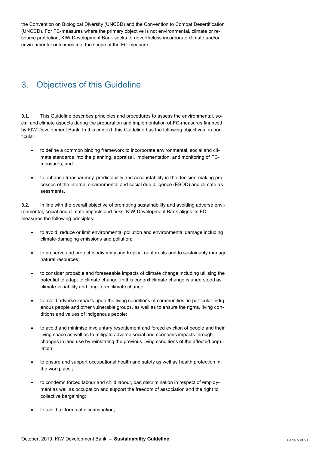the Convention on Biological Diversity (UNCBD) and the Convention to Combat Desertification (UNCCD). For FC-measures where the primary objective is not environmental, climate or resource protection, KfW Development Bank seeks to nevertheless incorporate climate and/or environmental outcomes into the scope of the FC-measure.

# <span id="page-4-0"></span>3. Objectives of this Guideline

**3.1.** This Guideline describes principles and procedures to assess the environmental, social and climate aspects during the preparation and implementation of FC-measures financed by KfW Development Bank. In this context, this Guideline has the following objectives, in particular:

- to define a common binding framework to incorporate environmental, social and climate standards into the planning, appraisal, implementation, and monitoring of FCmeasures; and
- to enhance transparency, predictability and accountability in the decision-making processes of the internal environmental and social due diligence (ESDD) and climate assessments.

**3.2.** In line with the overall objective of promoting sustainability and avoiding adverse environmental, social and climate impacts and risks, KfW Development Bank aligns its FCmeasures the following principles:

- to avoid, reduce or limit environmental pollution and environmental damage including climate-damaging emissions and pollution;
- to preserve and protect biodiversity and tropical rainforests and to sustainably manage natural resources;
- to consider probable and foreseeable impacts of climate change including utilising the potential to adapt to climate change. In this context climate change is understood as climate variability and long-term climate change;
- to avoid adverse impacts upon the living conditions of communities, in particular indigenous people and other vulnerable groups, as well as to ensure the rights, living conditions and values of indigenous people;
- to avoid and minimise involuntary resettlement and forced eviction of people and their living space as well as to mitigate adverse social and economic impacts through changes in land use by reinstating the previous living conditions of the affected population;
- to ensure and support occupational health and safety as well as health protection in the workplace ;
- to condemn forced labour and child labour, ban discrimination in respect of employment as well as occupation and support the freedom of association and the right to collective bargaining;
- to avoid all forms of discrimination;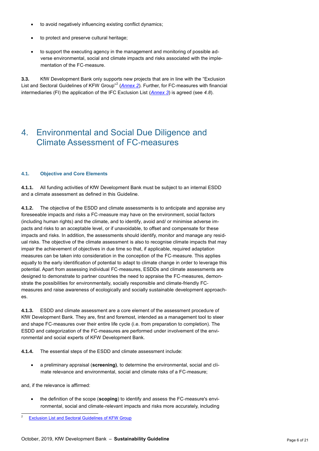- to avoid negatively influencing existing conflict dynamics;
- to protect and preserve cultural heritage;
- to support the executing agency in the management and monitoring of possible adverse environmental, social and climate impacts and risks associated with the implementation of the FC-measure.

**3.3.** KfW Development Bank only supports new projects that are in line with the "Exclusion List and Sectoral Guidelines of KFW Group<sup>"2</sup> ([Annex](#page-17-0) 2). Further, for FC-measures with financial intermediaries (FI) the application of the IFC Exclusion List (*[Annex](#page-19-0) 3*) is agreed (see *[4.8](#page-12-1)*).

### <span id="page-5-0"></span>4. Environmental and Social Due Diligence and Climate Assessment of FC-measures

#### <span id="page-5-1"></span>**4.1. Objective and Core Elements**

**4.1.1.** All funding activities of KfW Development Bank must be subject to an internal ESDD and a climate assessment as defined in this Guideline.

**4.1.2.** The objective of the ESDD and climate assessments is to anticipate and appraise any foreseeable impacts and risks a FC-measure may have on the environment, social factors (including human rights) and the climate, and to identify, avoid and/ or minimise adverse impacts and risks to an acceptable level, or if unavoidable, to offset and compensate for these impacts and risks. In addition, the assessments should identify, monitor and manage any residual risks. The objective of the climate assessment is also to recognise climate impacts that may impair the achievement of objectives in due time so that, if applicable, required adaptation measures can be taken into consideration in the conception of the FC-measure. This applies equally to the early identification of potential to adapt to climate change in order to leverage this potential. Apart from assessing individual FC-measures, ESDDs and climate assessments are designed to demonstrate to partner countries the need to appraise the FC-measures, demonstrate the possibilities for environmentally, socially responsible and climate-friendly FCmeasures and raise awareness of ecologically and socially sustainable development approaches.

**4.1.3.** ESDD and climate assessment are a core element of the assessment procedure of KfW Development Bank. They are, first and foremost, intended as a management tool to steer and shape FC-measures over their entire life cycle (i.e. from preparation to completion). The ESDD and categorization of the FC-measures are performed under involvement of the environmental and social experts of KFW Development Bank.

**4.1.4.** The essential steps of the ESDD and climate assessment include:

 a preliminary appraisal (**screening)**, to determine the environmental, social and climate relevance and environmental, social and climate risks of a FC-measure;

and, if the relevance is affirmed:

 $\overline{a}$ 

 the definition of the scope (**scoping**) to identify and assess the FC-measure's environmental, social and climate-relevant impacts and risks more accurately, including

[Exclusion List and Sectoral Guidelines of KFW Group](https://www.kfw.de/PDF/Download-Center/Konzernthemen/Nachhaltigkeit/Ausschlussliste/EN)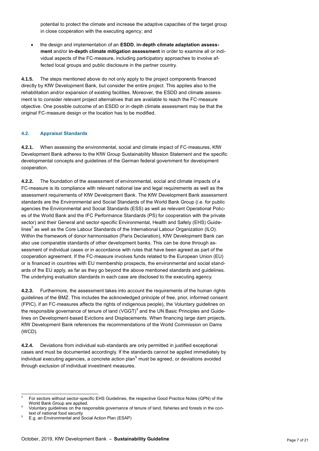potential to protect the climate and increase the adaptive capacities of the target group in close cooperation with the executing agency; and

 the design and implementation of an **ESDD**, **in-depth climate adaptation assessment** and/or **in-depth climate mitigation assessment** in order to examine all or individual aspects of the FC-measure, including participatory approaches to involve affected local groups and public disclosure in the partner country.

**4.1.5.** The steps mentioned above do not only apply to the project components financed directly by KfW Development Bank, but consider the entire project. This applies also to the rehabilitation and/or expansion of existing facilities. Moreover, the ESDD and climate assessment is to consider relevant project alternatives that are available to reach the FC-measure objective. One possible outcome of an ESDD or in-depth climate assessment may be that the original FC-measure design or the location has to be modified.

#### <span id="page-6-0"></span>**4.2. Appraisal Standards**

**4.2.1.** When assessing the environmental, social and climate impact of FC-measures, KfW Development Bank adheres to the KfW Group Sustainability Mission Statement and the specific developmental concepts and guidelines of the German federal government for development cooperation.

**4.2.2.** The foundation of the assessment of environmental, social and climate impacts of a FC-measure is its compliance with relevant national law and legal requirements as well as the assessment requirements of KfW Development Bank. The KfW Development Bank assessment standards are the Environmental and Social Standards of the World Bank Group (i.e. for public agencies the Environmental and Social Standards (ESS) as well as relevant Operational Polices of the World Bank and the IFC Performance Standards (PS) for cooperation with the private sector) and their General and sector-specific Environmental, Health and Safety (EHS) Guidelines<sup>3</sup> as well as the Core Labour Standards of the International Labour Organization (ILO). Within the framework of donor harmonisation (Paris Declaration), KfW Development Bank can also use comparable standards of other development banks. This can be done through assessment of individual cases or in accordance with rules that have been agreed as part of the cooperation agreement. If the FC-measure involves funds related to the European Union (EU) or is financed in countries with EU membership prospects, the environmental and social standards of the EU apply, as far as they go beyond the above mentioned standards and guidelines. The underlying evaluation standards in each case are disclosed to the executing agency.

**4.2.3.** Furthermore, the assessment takes into account the requirements of the human rights guidelines of the BMZ. This includes the acknowledged principle of free, prior, informed consent (FPIC), if an FC-measures affects the rights of indigenous people), the Voluntary guidelines on the responsible governance of tenure of land (VGGT)<sup>4</sup> and the UN Basic Principles and Guidelines on Development-based Evictions and Displacements. When financing large dam projects, KfW Development Bank references the recommendations of the World Commission on Dams (WCD).

**4.2.4.** Deviations from individual sub-standards are only permitted in justified exceptional cases and must be documented accordingly. If the standards cannot be applied immediately by individual executing agencies, a concrete action plan<sup>5</sup> must be agreed, or deviations avoided through exclusion of individual investment measures.

 $\frac{1}{3}$ For sectors without sector-specific EHS Guidelines, the respective Good Practice Notes (GPN) of the World Bank Group are applied.

<sup>4</sup> Voluntary guidelines on the responsible governance of tenure of land, fisheries and forests in the context of national food security

<sup>5</sup> E.g. an Environmental and Social Action Plan (ESAP)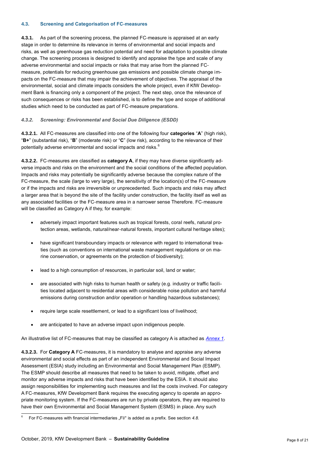#### <span id="page-7-0"></span>**4.3. Screening and Categorisation of FC-measures**

**4.3.1.** As part of the screening process, the planned FC-measure is appraised at an early stage in order to determine its relevance in terms of environmental and social impacts and risks, as well as greenhouse gas reduction potential and need for adaptation to possible climate change. The screening process is designed to identify and appraise the type and scale of any adverse environmental and social impacts or risks that may arise from the planned FCmeasure, potentials for reducing greenhouse gas emissions and possible climate change impacts on the FC-measure that may impair the achievement of objectives. The appraisal of the environmental, social and climate impacts considers the whole project, even if KfW Development Bank is financing only a component of the project. The next step, once the relevance of such consequences or risks has been established, is to define the type and scope of additional studies which need to be conducted as part of FC-measure preparations.

#### <span id="page-7-1"></span>*4.3.2. Screening: Environmental and Social Due Diligence (ESDD)*

**4.3.2.1.** All FC-measures are classified into one of the following four **categories** "**A**" (high risk), "**B+**" (substantial risk), "**B**" (moderate risk) or "**C**" (low risk), according to the relevance of their potentially adverse environmental and social impacts and risks.<sup>6</sup>

<span id="page-7-2"></span>**4.3.2.2.** FC-measures are classified as **category A**, if they may have diverse significantly adverse impacts and risks on the environment and the social conditions of the affected population. Impacts and risks may potentially be significantly adverse because the complex nature of the FC-measure, the scale (large to very large), the sensitivity of the location(s) of the FC-measure or if the impacts and risks are irreversible or unprecedented. Such impacts and risks may affect a larger area that is beyond the site of the facility under construction, the facility itself as well as any associated facilities or the FC-measure area in a narrower sense Therefore. FC-measure will be classified as Category A if they, for example:

- adversely impact important features such as tropical forests, coral reefs, natural protection areas, wetlands, natural/near-natural forests, important cultural heritage sites);
- have significant transboundary impacts or relevance with regard to international treaties (such as conventions on international waste management regulations or on marine conservation, or agreements on the protection of biodiversity);
- lead to a high consumption of resources, in particular soil, land or water;
- are associated with high risks to human health or safety (e.g. industry or traffic facilities located adjacent to residential areas with considerable noise pollution and harmful emissions during construction and/or operation or handling hazardous substances);
- require large scale resettlement, or lead to a significant loss of livelihood;
- are anticipated to have an adverse impact upon indigenous people.

An illustrative list of FC-measures that may be classified as category A is attached as *[Annex](#page-16-1) 1*.

**4.3.2.3.** For **Category A** FC-measures, it is mandatory to analyse and appraise any adverse environmental and social effects as part of an independent Environmental and Social Impact Assessment (ESIA) study including an Environmental and Social Management Plan (ESMP). The ESMP should describe all measures that need to be taken to avoid, mitigate, offset and monitor any adverse impacts and risks that have been identified by the ESIA. It should also assign responsibilities for implementing such measures and list the costs involved. For category A FC-measures, KfW Development Bank requires the executing agency to operate an appropriate monitoring system. If the FC-measures are run by private operators, they are required to have their own Environmental and Social Management System (ESMS) in place. Any such

 $\overline{a}$ 6 For FC-measures with financial intermediaries "FI/" is added as a prefix. See section [4.8](#page-12-1).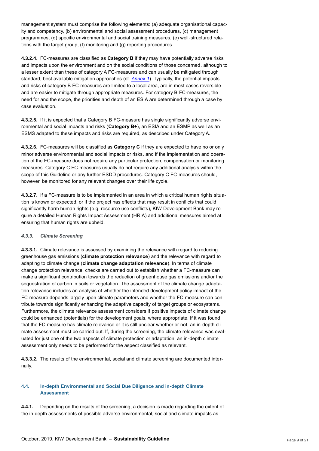management system must comprise the following elements: (a) adequate organisational capacity and competency, (b) environmental and social assessment procedures, (c) management programmes, (d) specific environmental and social training measures, (e) well-structured relations with the target group, (f) monitoring and (g) reporting procedures.

**4.3.2.4.** FC-measures are classified as **Category B** if they may have potentially adverse risks and impacts upon the environment and on the social conditions of those concerned, although to a lesser extent than these of category A FC-measures and can usually be mitigated through standard, best available mitigation approaches (cf. *[Annex](#page-16-1) 1*). Typically, the potential impacts and risks of category B FC-measures are limited to a local area, are in most cases reversible and are easier to mitigate through appropriate measures. For category B FC-measures, the need for and the scope, the priorities and depth of an ESIA are determined through a case by case evaluation.

**4.3.2.5.** If it is expected that a Category B FC-measure has single significantly adverse environmental and social impacts and risks (**Category B+**), an ESIA and an ESMP as well as an ESMS adapted to these impacts and risks are required, as described under Category A.

**4.3.2.6.** FC-measures will be classified as **Category C** if they are expected to have no or only minor adverse environmental and social impacts or risks, and if the implementation and operation of the FC-measure does not require any particular protection, compensation or monitoring measures. Category C FC-measures usually do not require any additional analysis within the scope of this Guideline or any further ESDD procedures. Category C FC-measures should, however, be monitored for any relevant changes over their life cycle.

**4.3.2.7.** If a FC-measure is to be implemented in an area in which a critical human rights situation is known or expected, or if the project has effects that may result in conflicts that could significantly harm human rights (e.g. resource use conflicts), KfW Development Bank may require a detailed Human Rights Impact Assessment (HRIA) and additional measures aimed at ensuring that human rights are upheld.

#### <span id="page-8-1"></span>*4.3.3. Climate Screening*

**4.3.3.1.** Climate relevance is assessed by examining the relevance with regard to reducing greenhouse gas emissions (**climate protection relevance**) and the relevance with regard to adapting to climate change (**climate change adaptation relevance**). In terms of climate change protection relevance, checks are carried out to establish whether a FC-measure can make a significant contribution towards the reduction of greenhouse gas emissions and/or the sequestration of carbon in soils or vegetation. The assessment of the climate change adaptation relevance includes an analysis of whether the intended development policy impact of the FC-measure depends largely upon climate parameters and whether the FC-measure can contribute towards significantly enhancing the adaptive capacity of target groups or ecosystems. Furthermore, the climate relevance assessment considers if positive impacts of climate change could be enhanced (potentials) for the development goals, where appropriate. If it was found that the FC-measure has climate relevance or it is still unclear whether or not, an in-depth climate assessment must be carried out. If, during the screening, the climate relevance was evaluated for just one of the two aspects of climate protection or adaptation, an in-depth climate assessment only needs to be performed for the aspect classified as relevant.

**4.3.3.2.** The results of the environmental, social and climate screening are documented internally.

#### <span id="page-8-0"></span>**4.4. In-depth Environmental and Social Due Diligence and in-depth Climate Assessment**

**4.4.1.** Depending on the results of the screening, a decision is made regarding the extent of the in-depth assessments of possible adverse environmental, social and climate impacts as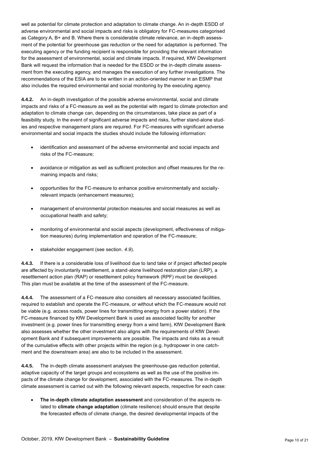well as potential for climate protection and adaptation to climate change. An in-depth ESDD of adverse environmental and social impacts and risks is obligatory for FC-measures categorised as Category A, B+ and B. Where there is considerable climate relevance, an in-depth assessment of the potential for greenhouse gas reduction or the need for adaptation is performed. The executing agency or the funding recipient is responsible for providing the relevant information for the assessment of environmental, social and climate impacts. If required, KfW Development Bank will request the information that is needed for the ESDD or the in-depth climate assessment from the executing agency, and manages the execution of any further investigations. The recommendations of the ESIA are to be written in an action-oriented manner in an ESMP that also includes the required environmental and social monitoring by the executing agency.

**4.4.2.** An in-depth investigation of the possible adverse environmental, social and climate impacts and risks of a FC-measure as well as the potential with regard to climate protection and adaptation to climate change can, depending on the circumstances, take place as part of a feasibility study. In the event of significant adverse impacts and risks, further stand-alone studies and respective management plans are required. For FC-measures with significant adverse environmental and social impacts the studies should include the following information:

- identification and assessment of the adverse environmental and social impacts and risks of the FC-measure;
- avoidance or mitigation as well as sufficient protection and offset measures for the remaining impacts and risks;
- opportunities for the FC-measure to enhance positive environmentally and sociallyrelevant impacts (enhancement measures);
- management of environmental protection measures and social measures as well as occupational health and safety;
- monitoring of environmental and social aspects (development, effectiveness of mitigation measures) during implementation and operation of the FC-measure;
- stakeholder engagement (see section. *[4.9](#page-13-0)*).

**4.4.3.** If there is a considerable loss of livelihood due to land take or if project affected people are affected by involuntarily resettlement, a stand-alone livelihood restoration plan (LRP), a resettlement action plan (RAP) or resettlement policy framework (RPF) must be developed. This plan must be available at the time of the assessment of the FC-measure.

**4.4.4.** The assessment of a FC-measure also considers all necessary associated facilities, required to establish and operate the FC-measure, or without which the FC-measure would not be viable (e.g. access roads, power lines for transmitting energy from a power station). If the FC-measure financed by KfW Development Bank is used as associated facility for another investment (e.g. power lines for transmitting energy from a wind farm), KfW Development Bank also assesses whether the other investment also aligns with the requirements of KfW Development Bank and if subsequent improvements are possible. The impacts and risks as a result of the cumulative effects with other projects within the region (e.g. hydropower in one catchment and the downstream area) are also to be included in the assessment.

<span id="page-9-0"></span>**4.4.5.** The in-depth climate assessment analyses the greenhouse-gas reduction potential, adaptive capacity of the target groups and ecosystems as well as the use of the positive impacts of the climate change for development, associated with the FC-measures. The in-depth climate assessment is carried out with the following relevant aspects, respective for each case:

 **The in-depth climate adaptation assessment** and consideration of the aspects related to **climate change adaptation** (climate resilience) should ensure that despite the forecasted effects of climate change, the desired developmental impacts of the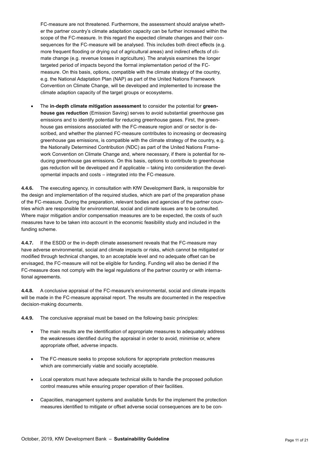FC-measure are not threatened. Furthermore, the assessment should analyse whether the partner country's climate adaptation capacity can be further increased within the scope of the FC-measure. In this regard the expected climate changes and their consequences for the FC-measure will be analysed. This includes both direct effects (e.g. more frequent flooding or drying out of agricultural areas) and indirect effects of climate change (e.g. revenue losses in agriculture). The analysis examines the longer targeted period of impacts beyond the formal implementation period of the FCmeasure. On this basis, options, compatible with the climate strategy of the country, e.g. the National Adaptation Plan (NAP) as part of the United Nations Framework Convention on Climate Change, will be developed and implemented to increase the climate adaption capacity of the target groups or ecosystems.

 The **in-depth climate mitigation assessment** to consider the potential for **greenhouse gas reduction** (Emission Saving) serves to avoid substantial greenhouse gas emissions and to identify potential for reducing greenhouse gases. First, the greenhouse gas emissions associated with the FC-measure region and/ or sector is described, and whether the planned FC-measure contributes to increasing or decreasing greenhouse gas emissions, is compatible with the climate strategy of the country, e.g. the Nationally Determined Contribution (NDC) as part of the United Nations Framework Convention on Climate Change and, where necessary, if there is potential for reducing greenhouse gas emissions. On this basis, options to contribute to greenhouse gas reduction will be developed and if applicable – taking into consideration the developmental impacts and costs – integrated into the FC-measure.

**4.4.6.** The executing agency, in consultation with KfW Development Bank, is responsible for the design and implementation of the required studies, which are part of the preparation phase of the FC-measure. During the preparation, relevant bodies and agencies of the partner countries which are responsible for environmental, social and climate issues are to be consulted. Where major mitigation and/or compensation measures are to be expected, the costs of such measures have to be taken into account in the economic feasibility study and included in the funding scheme.

**4.4.7.** If the ESDD or the in-depth climate assessment reveals that the FC-measure may have adverse environmental, social and climate impacts or risks, which cannot be mitigated or modified through technical changes, to an acceptable level and no adequate offset can be envisaged, the FC-measure will not be eligible for funding. Funding will also be denied if the FC-measure does not comply with the legal regulations of the partner country or with international agreements.

**4.4.8.** A conclusive appraisal of the FC-measure's environmental, social and climate impacts will be made in the FC-measure appraisal report. The results are documented in the respective decision-making documents.

**4.4.9.** The conclusive appraisal must be based on the following basic principles:

- The main results are the identification of appropriate measures to adequately address the weaknesses identified during the appraisal in order to avoid, minimise or, where appropriate offset, adverse impacts.
- The FC-measure seeks to propose solutions for appropriate protection measures which are commercially viable and socially acceptable.
- Local operators must have adequate technical skills to handle the proposed pollution control measures while ensuring proper operation of their facilities.
- Capacities, management systems and available funds for the implement the protection measures identified to mitigate or offset adverse social consequences are to be con-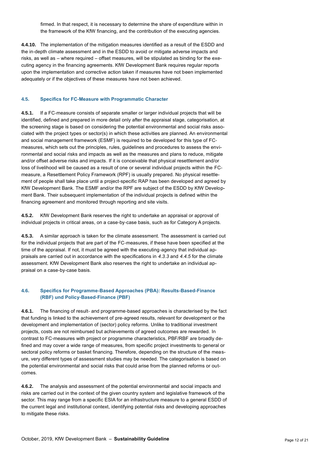firmed. In that respect, it is necessary to determine the share of expenditure within in the framework of the KfW financing, and the contribution of the executing agencies.

**4.4.10.** The implementation of the mitigation measures identified as a result of the ESDD and the in-depth climate assessment and in the ESDD to avoid or mitigate adverse impacts and risks, as well as – where required – offset measures, will be stipulated as binding for the executing agency in the financing agreements. KfW Development Bank requires regular reports upon the implementation and corrective action taken if measures have not been implemented adequately or if the objectives of these measures have not been achieved.

#### <span id="page-11-0"></span>**4.5. Specifics for FC-Measure with Programmatic Character**

**4.5.1.** If a FC-measure consists of separate smaller or larger individual projects that will be identified, defined and prepared in more detail only after the appraisal stage, categorisation, at the screening stage is based on considering the potential environmental and social risks associated with the project types or sector(s) in which these activities are planned. An environmental and social management framework (ESMF) is required to be developed for this type of FCmeasures, which sets out the principles, rules, guidelines and procedures to assess the environmental and social risks and impacts as well as the measures and plans to reduce, mitigate and/or offset adverse risks and impacts. If it is conceivable that physical resettlement and/or loss of livelihood will be caused as a result of one or several individual projects within the FCmeasure, a Resettlement Policy Framework (RPF) is usually prepared. No physical resettlement of people shall take place until a project-specific RAP has been developed and agreed by KfW Development Bank. The ESMF and/or the RPF are subject of the ESDD by KfW Development Bank. Their subsequent implementation of the individual projects is defined within the financing agreement and monitored through reporting and site visits.

**4.5.2.** KfW Development Bank reserves the right to undertake an appraisal or approval of individual projects in critical areas, on a case-by-case basis, such as for Category A projects.

**4.5.3.** A similar approach is taken for the climate assessment. The assessment is carried out for the individual projects that are part of the FC-measures, if these have been specified at the time of the appraisal. If not, it must be agreed with the executing-agency that individual appraisals are carried out in accordance with the specifications in *[4.3.3](#page-8-1)* and *[4.4.5](#page-9-0)* for the climate assessment. KfW Development Bank also reserves the right to undertake an individual appraisal on a case-by-case basis.

#### <span id="page-11-1"></span>**4.6. Specifics for Programme-Based Approaches (PBA): Results-Based-Finance (RBF) und Policy-Based-Finance (PBF)**

**4.6.1.** The financing of result- and programme-based approaches is characterised by the fact that funding is linked to the achievement of pre-agreed results, relevant for development or the development and implementation of (sector) policy reforms. Unlike to traditional investment projects, costs are not reimbursed but achievements of agreed outcomes are rewarded. In contrast to FC-measures with project or programme characteristics, PBF/RBF are broadly defined and may cover a wide range of measures, from specific project investments to general or sectoral policy reforms or basket financing. Therefore, depending on the structure of the measure, very different types of assessment studies may be needed. The categorisation is based on the potential environmental and social risks that could arise from the planned reforms or outcomes.

**4.6.2.** The analysis and assessment of the potential environmental and social impacts and risks are carried out in the context of the given country system and legislative framework of the sector. This may range from a specific ESIA for an infrastructure measure to a general ESDD of the current legal and institutional context, identifying potential risks and developing approaches to mitigate these risks.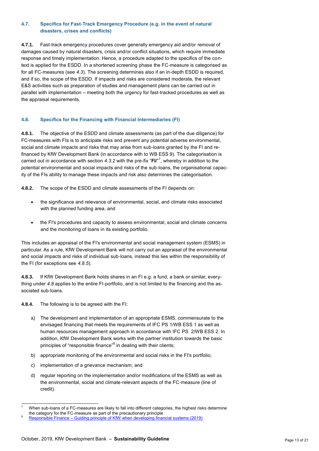#### <span id="page-12-0"></span>**4.7. Specifics for Fast-Track Emergency Procedure (e.g. in the event of natural disasters, crises and conflicts)**

**4.7.1.** Fast-track emergency procedures cover generally emergency aid and/or removal of damages caused by natural disasters, crisis and/or conflict situations, which require immediate response and timely implementation. Hence, a procedure adapted to the specifics of the context is applied for the ESDD. In a shortened screening phase the FC-measure is categorised as for all FC-measures (see *[4.3](#page-7-0)*). The screening determines also if an in-depth ESDD is required, and if so, the scope of the ESDD. If impacts and risks are considered moderate, the relevant E&S activities such as preparation of studies and management plans can be carried out in parallel with implementation – meeting both the urgency for fast-tracked procedures as well as the appraisal requirements.

#### <span id="page-12-1"></span>**4.8. Specifics for the Financing with Financial Intermediaries (FI)**

**4.8.1.** The objective of the ESDD and climate assessments (as part of the due diligence) for FC-measures with FIs is to anticipate risks and prevent any potential adverse environmental, social and climate impacts and risks that may arise from sub-loans granted by the FI and refinanced by KfW Development Bank (in accordance with to WB ESS 9). The categorisation is carried out in accordance with section *[4.3.2](#page-7-1)* with the pre-fix "**FI/**" 7 , whereby in addition to the potential environmental and social impacts and risks of the sub-loans, the organisational capacity of the FIs ability to manage these impacts and risk also determines the categorisation.

**4.8.2.** The scope of the ESDD and climate assessments of the FI depends on:

- the significance and relevance of environmental, social, and climate risks associated with the planned funding area, and
- the FI's procedures and capacity to assess environmental, social and climate concerns and the monitoring of loans in its existing portfolio.

This includes an appraisal of the FI's environmental and social management system (ESMS) in particular. As a rule, KfW Development Bank will not carry out an appraisal of the environmental and social impacts and risks of individual sub-loans, instead this lies within the responsibility of the FI (for exceptions see *[4.8.5](#page-13-1)*).

**4.8.3.** If KfW Development Bank holds shares in an FI e.g. a fund, a bank or similar, everything under *[4.8](#page-12-1)* applies to the entire FI-portfolio, and is not limited to the financing and the associated sub-loans.

**4.8.4.** The following is to be agreed with the FI:

- a) The development and implementation of an appropriate ESMS, commensurate to the envisaged financing that meets the requirements of IFC PS 1/WB ESS 1 as well as human resources management approach in accordance with IFC PS 2/WB ESS 2. In addition, KfW Development Bank works with the partner institution towards the basic principles of "responsible finance"<sup>8</sup> in dealing with their clients;
- b) appropriate monitoring of the environmental and social risks in the FI's portfolio;
- c) implementation of a grievance mechanism; and
- d) regular reporting on the implementation and/or modifications of the ESMS as well as the environmental, social and climate-relevant aspects of the FC-measure (line of credit).

 $\overline{a}$ When sub-loans of a FC-measures are likely to fall into different categories, the highest risks determine the category for the FC-measure as part of the precautionary principle

<sup>8</sup> Responsible Finance – [Guiding principle of KfW when developing financial systems \(2019\)](https://www.kfw-entwicklungsbank.de/PDF/Download-Center/Standpunkte/2019_Responsible-Finance_EN.pdf)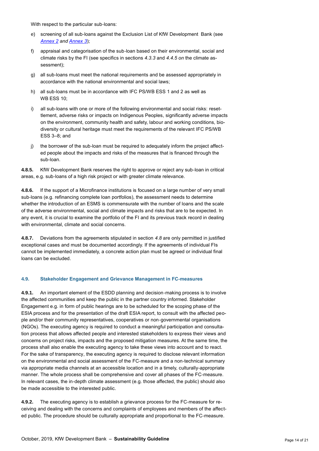With respect to the particular sub-loans:

- e) screening of all sub-loans against the Exclusion List of KfW Development Bank (see *[Annex](#page-17-0) 2 and [Annex](#page-19-0) 3*);
- f) appraisal and categorisation of the sub-loan based on their environmental, social and climate risks by the FI (see specifics in sections *[4.3.3](#page-8-1)* and *[4.4.5](#page-9-0) on* the climate assessment);
- g) all sub-loans must meet the national requirements and be assessed appropriately in accordance with the national environmental and social laws;
- h) all sub-loans must be in accordance with IFC PS/WB ESS 1 and 2 as well as WB ESS 10;
- i) all sub-loans with one or more of the following environmental and social risks: resettlement, adverse risks or impacts on Indigenous Peoples, significantly adverse impacts on the environment, community health and safety, labour and working conditions, biodiversity or cultural heritage must meet the requirements of the relevant IFC PS/WB ESS 3–8; and
- j) the borrower of the sub-loan must be required to adequately inform the project affected people about the impacts and risks of the measures that is financed through the sub-loan.

<span id="page-13-1"></span>**4.8.5.** KfW Development Bank reserves the right to approve or reject any sub-loan in critical areas, e.g. sub-loans of a high risk project or with greater climate relevance.

**4.8.6.** If the support of a Microfinance institutions is focused on a large number of very small sub-loans (e.g. refinancing complete loan portfolios), the assessment needs to determine whether the introduction of an ESMS is commensurate with the number of loans and the scale of the adverse environmental, social and climate impacts and risks that are to be expected. In any event, it is crucial to examine the portfolio of the FI and its previous track record in dealing with environmental, climate and social concerns.

**4.8.7.** Deviations from the agreements stipulated in section *[4.8](#page-12-1)* are only permitted in justified exceptional cases and must be documented accordingly. If the agreements of individual FIs cannot be implemented immediately, a concrete action plan must be agreed or individual final loans can be excluded.

#### <span id="page-13-0"></span>**4.9. Stakeholder Engagement and Grievance Management in FC-measures**

**4.9.1.** An important element of the ESDD planning and decision-making process is to involve the affected communities and keep the public in the partner country informed. Stakeholder Engagement e.g. in form of public hearings are to be scheduled for the scoping phase of the ESIA process and for the presentation of the draft ESIA report, to consult with the affected people and/or their community representatives, cooperatives or non-governmental organisations (NGOs). The executing agency is required to conduct a meaningful participation and consultation process that allows affected people and interested stakeholders to express their views and concerns on project risks, impacts and the proposed mitigation measures. At the same time, the process shall also enable the executing agency to take these views into account and to react. For the sake of transparency, the executing agency is required to disclose relevant information on the environmental and social assessment of the FC-measure and a non-technical summary via appropriate media channels at an accessible location and in a timely, culturally-appropriate manner. The whole process shall be comprehensive and cover all phases of the FC-measure. In relevant cases, the in-depth climate assessment (e.g. those affected, the public) should also be made accessible to the interested public.

**4.9.2.** The executing agency is to establish a grievance process for the FC-measure for receiving and dealing with the concerns and complaints of employees and members of the affected public. The procedure should be culturally appropriate and proportional to the FC-measure.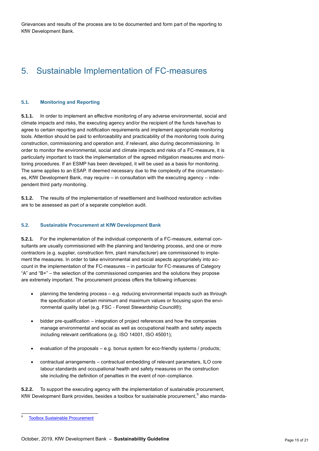<span id="page-14-0"></span>Grievances and results of the process are to be documented and form part of the reporting to KfW Development Bank.

# 5. Sustainable Implementation of FC-measures

#### <span id="page-14-1"></span>**5.1. Monitoring and Reporting**

**5.1.1.** In order to implement an effective monitoring of any adverse environmental, social and climate impacts and risks, the executing agency and/or the recipient of the funds have/has to agree to certain reporting and notification requirements and implement appropriate monitoring tools. Attention should be paid to enforceability and practicability of the monitoring tools during construction, commissioning and operation and, if relevant, also during decommissioning. In order to monitor the environmental, social and climate impacts and risks of a FC-measure, it is particularly important to track the implementation of the agreed mitigation measures and monitoring procedures. If an ESMP has been developed, it will be used as a basis for monitoring. The same applies to an ESAP. If deemed necessary due to the complexity of the circumstances, KfW Development Bank, may require – in consultation with the executing agency – independent third party monitoring.

**5.1.2.** The results of the implementation of resettlement and livelihood restoration activities are to be assessed as part of a separate completion audit.

#### <span id="page-14-2"></span>**5.2. Sustainable Procurement at KfW Development Bank**

**5.2.1.** For the implementation of the individual components of a FC-measure, external consultants are usually commissioned with the planning and tendering process, and one or more contractors (e.g. supplier, construction firm, plant manufacturer) are commissioned to implement the measures. In order to take environmental and social aspects appropriately into account in the implementation of the FC-measures – in particular for FC-measures of Category "A" and "B+"  $-$  the selection of the commissioned companies and the solutions they propose are extremely important. The procurement process offers the following influences:

- planning the tendering process e.g. reducing environmental impacts such as through the specification of certain minimum and maximum values or focusing upon the environmental quality label (e.g. FSC - Forest Stewardship Council®);
- bidder pre-qualification integration of project references and how the companies manage environmental and social as well as occupational health and safety aspects including relevant certifications (e.g. ISO 14001, ISO 45001);
- evaluation of the proposals e.g. bonus system for eco-friendly systems / products;
- contractual arrangements contractual embedding of relevant parameters, ILO core labour standards and occupational health and safety measures on the construction site including the definition of penalties in the event of non-compliance.

**5.2.2.** To support the executing agency with the implementation of sustainable procurement, KfW Development Bank provides, besides a toolbox for sustainable procurement,  $9$  also manda-

 $\overline{a}$ 9

[Toolbox Sustainable Procurement](https://www.kfw-entwicklungsbank.de/PDF/Download-Center/PDF-Dokumente-Richtlinien/Toolbox-zur-Nachhaltigen-Auftragsvergabe-EN.pdf)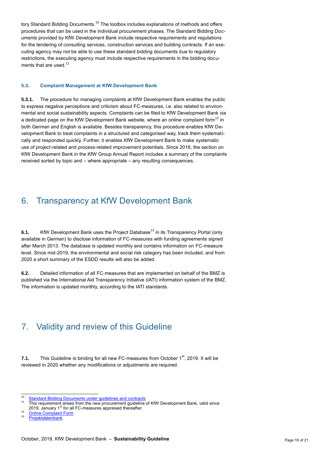tory Standard Bidding Documents.<sup>10</sup> The toolbox includes explanations of methods and offers procedures that can be used in the individual procurement phases. The Standard Bidding Documents provided by KfW Development Bank include respective requirements and regulations for the tendering of consulting services, construction services and building contracts. If an executing agency may not be able to use these standard bidding documents due to regulatory restrictions, the executing agency must include respective requirements in the bidding documents that are used. $11$ 

#### <span id="page-15-0"></span>**5.3. Complaint Management at KfW Development Bank**

**5.3.1.** The procedure for managing complaints at KfW Development Bank enables the public to express negative perceptions and criticism about FC-measures, i.e. also related to environmental and social sustainability aspects. Complaints can be filed to KfW Development Bank via a dedicated page on the KfW Development Bank website, where an online complaint form<sup>12</sup> in both German and English is available. Besides transparency, this procedure enables KfW Development Bank to treat complaints in a structured and categorised way, track them systematically and responded quickly. Further, it enables KfW Development Bank to make [systematic](http://de.pons.com/übersetzung/englisch-deutsch/systematic) use of [project-related](http://de.pons.com/übersetzung/englisch-deutsch/project-related) [and](http://de.pons.com/übersetzung/englisch-deutsch/and) [proces](http://de.pons.com/übersetzung/englisch-deutsch/prozessualen)s-related [improvement](http://de.pons.com/übersetzung/englisch-deutsch/improvement) [potentials.](http://de.pons.com/übersetzung/englisch-deutsch/potentials) Since 2016, the section on KfW Development Bank in the KfW Group Annual Report includes a summary of the complaints received sorted by topic and – where appropriate – any resulting consequences.

## <span id="page-15-1"></span>6. Transparency at KfW Development Bank

**6.1.** KfW Development Bank uses the Project Database<sup>13</sup> in its Transparency Portal (only available in German) to disclose information of FC-measures with funding agreements signed after March 2013. The database is updated monthly and contains information on FC-measure level. Since mid-2019, the environmental and social risk category has been included, and from 2020 a short summary of the ESDD results will also be added.

**6.2.** Detailed information of all FC-measures that are implemented on behalf of the BMZ is published via the International Aid Transparency Initiative (IATI) information system of the BMZ. The information is updated monthly, according to the IATI standards.

# <span id="page-15-2"></span>7. Validity and review of this Guideline

**7.1.** This Guideline is binding for all new FC-measures from October 1<sup>st</sup>, 2019. It will be reviewed in 2020 whether any modifications or adjustments are required.

 $10$ <sup>10</sup> [Standard Bidding Documents under guidelines and contracts](https://www.kfw-entwicklungsbank.de/International-financing/KfW-Development-Bank/Publications-Videos/Publication-series/Guidelines-and-contracts/)<br><sup>11</sup> This requirement gives from the new prequest quideline

<sup>11</sup> This requirement arises from the new procurement guideline of KfW Development Bank, valid since 2019, January 1<sup>st</sup> for all FC-measures appraised thereafter.

 $12 \frac{\text{Online Complain Form}}{2}$ 

**[Projektdatenbank](https://www.kfw-entwicklungsbank.de/Internationale-Finanzierung/KfW-Entwicklungsbank/Projekte/Projektdatenbank/index.jsp?query=*:*&page=1&rows=10&sortBy=relevance&sortOrder=desc&facet.filter.language=de&dymFailover=true&groups=1)**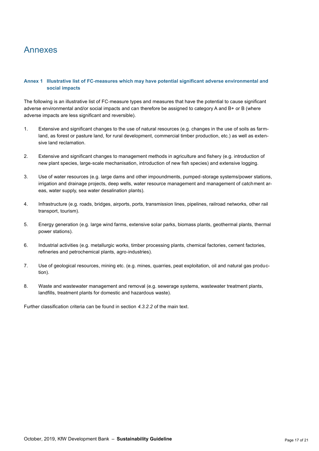# <span id="page-16-0"></span>Annexes

#### <span id="page-16-1"></span>**Annex 1 Illustrative list of FC-measures which may have potential significant adverse environmental and social impacts**

The following is an illustrative list of FC-measure types and measures that have the potential to cause significant adverse environmental and/or social impacts and can therefore be assigned to category A and B+ or B (where adverse impacts are less significant and reversible).

- 1. Extensive and significant changes to the use of natural resources (e.g. changes in the use of soils as farmland, as forest or pasture land, for rural development, commercial timber production, etc.) as well as extensive land reclamation.
- 2. Extensive and significant changes to management methods in agriculture and fishery (e.g. introduction of new plant species, large-scale mechanisation, introduction of new fish species) and extensive logging.
- 3. Use of water resources (e.g. large dams and other impoundments, pumped-storage systems/power stations, irrigation and drainage projects, deep wells, water resource management and management of catchment areas, water supply, sea water desalination plants).
- 4. Infrastructure (e.g. roads, bridges, airports, ports, transmission lines, pipelines, railroad networks, other rail transport, tourism).
- 5. Energy generation (e.g. large wind farms, extensive solar parks, biomass plants, geothermal plants, thermal power stations).
- 6. Industrial activities (e.g. metallurgic works, timber processing plants, chemical factories, cement factories, refineries and petrochemical plants, agro-industries).
- 7. Use of geological resources, mining etc. (e.g. mines, quarries, peat exploitation, oil and natural gas production).
- 8. Waste and wastewater management and removal (e.g. sewerage systems, wastewater treatment plants, landfills, treatment plants for domestic and hazardous waste).

Further classification criteria can be found in section *[4.3.2.2](#page-7-2)* of the main text.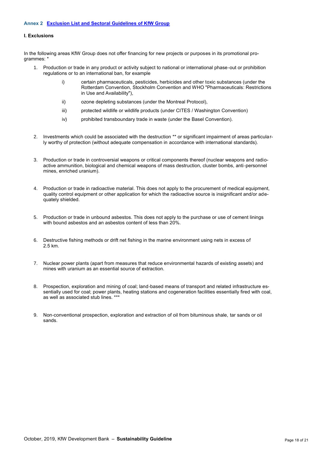#### <span id="page-17-0"></span>**I. Exclusions**

In the following areas KfW Group does not offer financing for new projects or purposes in its promotional programmes: \*

- 1. Production or trade in any product or activity subject to national or international phase-out or prohibition regulations or to an international ban, for example
	- i) certain pharmaceuticals, pesticides, herbicides and other toxic substances (under the Rotterdam Convention, Stockholm Convention and WHO "Pharmaceuticals: Restrictions in Use and Availability"),
	- ii) ozone depleting substances (under the Montreal Protocol),
	- iii) protected wildlife or wildlife products (under CITES / Washington Convention)
	- iv) prohibited transboundary trade in waste (under the Basel Convention).
- 2. Investments which could be associated with the destruction \*\* or significant impairment of areas particularly worthy of protection (without adequate compensation in accordance with international standards).
- 3. Production or trade in controversial weapons or critical components thereof (nuclear weapons and radioactive ammunition, biological and chemical weapons of mass destruction, cluster bombs, anti-personnel mines, enriched uranium).
- 4. Production or trade in radioactive material. This does not apply to the procurement of medical equipment, quality control equipment or other application for which the radioactive source is insignificant and/or adequately shielded.
- 5. Production or trade in unbound asbestos. This does not apply to the purchase or use of cement linings with bound asbestos and an asbestos content of less than 20%.
- 6. Destructive fishing methods or drift net fishing in the marine environment using nets in excess of 2.5 km.
- 7. Nuclear power plants (apart from measures that reduce environmental hazards of existing assets) and mines with uranium as an essential source of extraction.
- 8. Prospection, exploration and mining of coal; land-based means of transport and related infrastructure essentially used for coal; power plants, heating stations and cogeneration facilities essentially fired with coal, as well as associated stub lines. \*\*\*
- 9. Non-conventional prospection, exploration and extraction of oil from bituminous shale, tar sands or oil sands.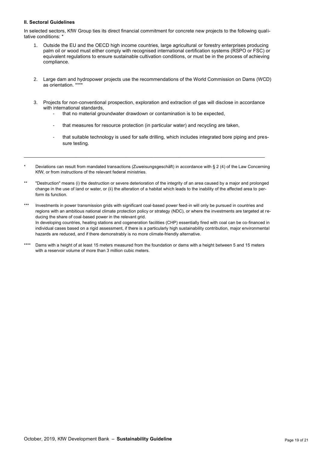#### **II. Sectoral Guidelines**

In selected sectors, KfW Group ties its direct financial commitment for concrete new projects to the following qualitative conditions:

- 1. Outside the EU and the OECD high income countries, large agricultural or forestry enterprises producing palm oil or wood must either comply with recognised international certification systems (RSPO or FSC) or equivalent regulations to ensure sustainable cultivation conditions, or must be in the process of achieving compliance.
- 2. Large dam and hydropower projects use the recommendations of the World Commission on Dams (WCD) as orientation. \*\*\*
- 3. Projects for non-conventional prospection, exploration and extraction of gas will disclose in accordance with international standards.
	- that no material groundwater drawdown or contamination is to be expected,
	- that measures for resource protection (in particular water) and recycling are taken,
	- that suitable technology is used for safe drilling, which includes integrated bore piping and pressure testing.
- Deviations can result from mandated transactions (Zuweisungsgeschäft) in accordance with § 2 (4) of the Law Concerning KfW, or from instructions of the relevant federal ministries.

\_\_\_\_\_\_\_\_\_\_\_\_\_\_\_\_\_\_\_\_\_\_\_\_\_\_\_\_\_\_\_\_\_\_\_\_\_\_\_\_\_\_\_\_\_\_\_\_\_\_\_\_\_\_\_\_\_\_\_\_\_\_\_\_\_\_\_\_\_\_\_\_\_\_\_\_\_\_\_\_\_\_\_\_\_\_\_\_\_

- \*\* "Destruction" means (i) the destruction or severe deterioration of the integrity of an area caused by a major and prolonged change in the use of land or water, or (ii) the alteration of a habitat which leads to the inability of the affected area to perform its function.
- \*\*\* Investments in power transmission grids with significant coal-based power feed-in will only be pursued in countries and regions with an ambitious national climate protection policy or strategy (NDC), or where the investments are targeted at reducing the share of coal-based power in the relevant grid. In developing countries, heating stations and cogeneration facilities (CHP) essentially fired with coal can be co-financed in individual cases based on a rigid assessment, if there is a particularly high sustainability contribution, major environmental hazards are reduced, and if there demonstrably is no more climate-friendly alternative.
- \*\*\*\* Dams with a height of at least 15 meters measured from the foundation or dams with a height between 5 and 15 meters with a reservoir volume of more than 3 million cubic meters.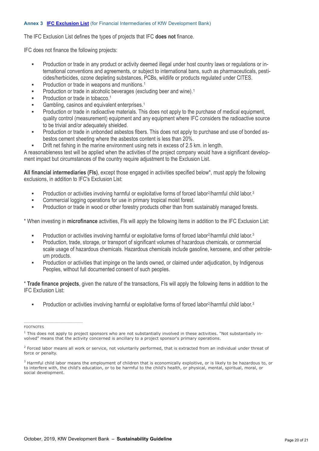#### <span id="page-19-0"></span>**Annex 3 [IFC Exclusion List](http://www.ifc.org/exclusionlist)** (for Financial Intermediaries of KfW Development Bank)

The IFC Exclusion List defines the types of projects that IFC **does not** finance.

IFC does not finance the following projects:

- Production or trade in any product or activity deemed illegal under host country laws or regulations or international conventions and agreements, or subject to international bans, such as pharmaceuticals, pesticides/herbicides, ozone depleting substances, PCBs, wildlife or products regulated under CITES.
- **Production or trade in weapons and munitions.**<sup>1</sup>
- Production or trade in alcoholic beverages (excluding beer and wine).<sup>1</sup>
- Production or trade in tobacco.<sup>1</sup>
- Gambling, casinos and equivalent enterprises.<sup>1</sup>
- **Production or trade in radioactive materials. This does not apply to the purchase of medical equipment,** quality control (measurement) equipment and any equipment where IFC considers the radioactive source to be trivial and/or adequately shielded.
- **Production or trade in unbonded asbestos fibers. This does not apply to purchase and use of bonded as**bestos cement sheeting where the asbestos content is less than 20%.
- **EXECT** Drift net fishing in the marine environment using nets in excess of 2.5 km. in length.

A reasonableness test will be applied when the activities of the project company would have a significant development impact but circumstances of the country require adjustment to the Exclusion List.

**All financial intermediaries (FIs)**, except those engaged in activities specified below\*, must apply the following exclusions, in addition to IFC's Exclusion List:

- Production or activities involving harmful or exploitative forms of forced labor<sup>2</sup>/harmful child labor.<sup>3</sup>
- **Commercial logging operations for use in primary tropical moist forest.**
- **Production or trade in wood or other forestry products other than from sustainably managed forests.**

\* When investing in **microfinance** activities, FIs will apply the following items in addition to the IFC Exclusion List:

- Production or activities involving harmful or exploitative forms of forced labor<sup>2</sup>/harmful child labor.<sup>3</sup>
- Production, trade, storage, or transport of significant volumes of hazardous chemicals, or commercial scale usage of hazardous chemicals. Hazardous chemicals include gasoline, kerosene, and other petroleum products.
- Production or activities that impinge on the lands owned, or claimed under adjudication, by Indigenous Peoples, without full documented consent of such peoples.

\* **Trade finance projects**, given the nature of the transactions, FIs will apply the following items in addition to the IFC Exclusion List:

• Production or activities involving harmful or exploitative forms of forced labor<sup>2</sup>/harmful child labor.<sup>3</sup>

 $\mathcal{L}_\text{max}$  and  $\mathcal{L}_\text{max}$  and  $\mathcal{L}_\text{max}$  and  $\mathcal{L}_\text{max}$  and  $\mathcal{L}_\text{max}$ 

FOOTNOTES

 $1$  This does not apply to project sponsors who are not substantially involved in these activities. "Not substantially involved" means that the activity concerned is ancillary to a project sponsor's primary operations.

<sup>&</sup>lt;sup>2</sup> Forced labor means all work or service, not voluntarily performed, that is extracted from an individual under threat of force or penalty.

<sup>&</sup>lt;sup>3</sup> Harmful child labor means the employment of children that is economically exploitive, or is likely to be hazardous to, or to interfere with, the child's education, or to be harmful to the child's health, or physical, mental, spiritual, moral, or social development.